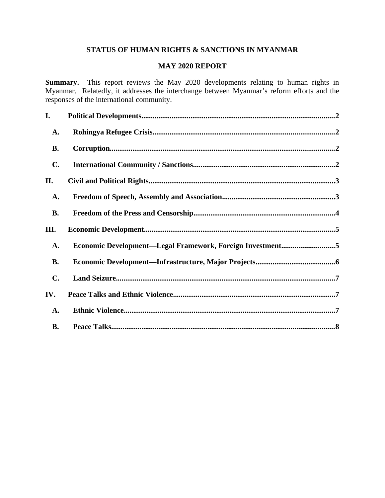# **STATUS OF HUMAN RIGHTS & SANCTIONS IN MYANMAR**

### **MAY 2020 REPORT**

**Summary.** This report reviews the May 2020 developments relating to human rights in Myanmar. Relatedly, it addresses the interchange between Myanmar's reform efforts and the responses of the international community.

| I.             |                                                           |  |
|----------------|-----------------------------------------------------------|--|
| A.             |                                                           |  |
| <b>B.</b>      |                                                           |  |
| C.             |                                                           |  |
| II.            |                                                           |  |
| A.             |                                                           |  |
| <b>B.</b>      |                                                           |  |
| III.           |                                                           |  |
| A.             | Economic Development-Legal Framework, Foreign Investment5 |  |
| <b>B.</b>      |                                                           |  |
| $\mathbf{C}$ . |                                                           |  |
| IV.            |                                                           |  |
| <b>A.</b>      |                                                           |  |
| <b>B.</b>      |                                                           |  |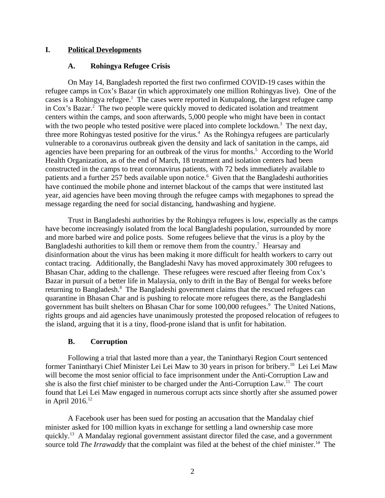# **I. Political Developments**

# <span id="page-1-2"></span><span id="page-1-0"></span>**A. Rohingya Refugee Crisis**

On May 14, Bangladesh reported the first two confirmed COVID-19 cases within the refugee camps in Cox's Bazar (in which approximately one million Rohingyas live). One of the cases is a Rohingya refugee.<sup>1</sup> The cases were reported in Kutupalong, the largest refugee camp in Cox's Bazar.<sup>2</sup> The two people were quickly moved to dedicated isolation and treatment centers within the camps, and soon afterwards, 5,000 people who might have been in contact with the two people who tested positive were placed into complete lockdown.<sup>3</sup> The next day, three more Rohingyas tested positive for the virus.<sup>4</sup> As the Rohingya refugees are particularly vulnerable to a coronavirus outbreak given the density and lack of sanitation in the camps, aid agencies have been preparing for an outbreak of the virus for months.<sup>5</sup> According to the World Health Organization, as of the end of March, 18 treatment and isolation centers had been constructed in the camps to treat coronavirus patients, with 72 beds immediately available to patients and a further 257 beds available upon notice.<sup>6</sup> Given that the Bangladeshi authorities have continued the mobile phone and internet blackout of the camps that were instituted last year, aid agencies have been moving through the refugee camps with megaphones to spread the message regarding the need for social distancing, handwashing and hygiene.

Trust in Bangladeshi authorities by the Rohingya refugees is low, especially as the camps have become increasingly isolated from the local Bangladeshi population, surrounded by more and more barbed wire and police posts. Some refugees believe that the virus is a ploy by the Bangladeshi authorities to kill them or remove them from the country.<sup>7</sup> Hearsay and disinformation about the virus has been making it more difficult for health workers to carry out contact tracing. Additionally, the Bangladeshi Navy has moved approximately 300 refugees to Bhasan Char, adding to the challenge. These refugees were rescued after fleeing from Cox's Bazar in pursuit of a better life in Malaysia, only to drift in the Bay of Bengal for weeks before returning to Bangladesh.<sup>8</sup> The Bangladeshi government claims that the rescued refugees can quarantine in Bhasan Char and is pushing to relocate more refugees there, as the Bangladeshi government has built shelters on Bhasan Char for some 100,000 refugees.<sup>9</sup> The United Nations, rights groups and aid agencies have unanimously protested the proposed relocation of refugees to the island, arguing that it is a tiny, flood-prone island that is unfit for habitation.

# <span id="page-1-1"></span>**B. Corruption**

Following a trial that lasted more than a year, the Tanintharyi Region Court sentenced former Tanintharyi Chief Minister Lei Lei Maw to 30 years in prison for bribery.<sup>10</sup> Lei Lei Maw will become the most senior official to face imprisonment under the Anti-Corruption Law and she is also the first chief minister to be charged under the Anti-Corruption Law.<sup>11</sup> The court found that Lei Lei Maw engaged in numerous corrupt acts since shortly after she assumed power in April 2016. $12$ 

A Facebook user has been sued for posting an accusation that the Mandalay chief minister asked for 100 million kyats in exchange for settling a land ownership case more quickly.<sup>13</sup> A Mandalay regional government assistant director filed the case, and a government source told *The Irrawaddy* that the complaint was filed at the behest of the chief minister.<sup>14</sup> The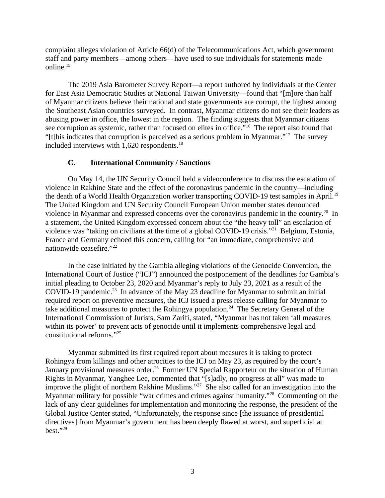complaint alleges violation of Article 66(d) of the Telecommunications Act, which government staff and party members—among others—have used to sue individuals for statements made online.<sup>15</sup>

The 2019 Asia Barometer Survey Report—a report authored by individuals at the Center for East Asia Democratic Studies at National Taiwan University—found that "[m]ore than half of Myanmar citizens believe their national and state governments are corrupt, the highest among the Southeast Asian countries surveyed. In contrast, Myanmar citizens do not see their leaders as abusing power in office, the lowest in the region. The finding suggests that Myanmar citizens see corruption as systemic, rather than focused on elites in office."<sup>16</sup> The report also found that "[t]his indicates that corruption is perceived as a serious problem in Myanmar."<sup>17</sup> The survey included interviews with 1,620 respondents.<sup>18</sup>

# <span id="page-2-0"></span>**C. International Community / Sanctions**

On May 14, the UN Security Council held a videoconference to discuss the escalation of violence in Rakhine State and the effect of the coronavirus pandemic in the country—including the death of a World Health Organization worker transporting COVID-19 test samples in April.<sup>19</sup> The United Kingdom and UN Security Council European Union member states denounced violence in Myanmar and expressed concerns over the coronavirus pandemic in the country.<sup>20</sup> In a statement, the United Kingdom expressed concern about the "the heavy toll" an escalation of violence was "taking on civilians at the time of a global COVID-19 crisis."<sup>21</sup> Belgium, Estonia, France and Germany echoed this concern, calling for "an immediate, comprehensive and nationwide ceasefire."<sup>22</sup>

In the case initiated by the Gambia alleging violations of the Genocide Convention, the International Court of Justice ("ICJ") announced the postponement of the deadlines for Gambia's initial pleading to October 23, 2020 and Myanmar's reply to July 23, 2021 as a result of the COVID-19 pandemic.<sup>23</sup> In advance of the May 23 deadline for Myanmar to submit an initial required report on preventive measures, the ICJ issued a press release calling for Myanmar to take additional measures to protect the Rohingya population.<sup>24</sup> The Secretary General of the International Commission of Jurists, Sam Zarifi, stated, "Myanmar has not taken 'all measures within its power' to prevent acts of genocide until it implements comprehensive legal and constitutional reforms."<sup>25</sup>

Myanmar submitted its first required report about measures it is taking to protect Rohingya from killings and other atrocities to the ICJ on May 23, as required by the court's January provisional measures order.<sup>26</sup> Former UN Special Rapporteur on the situation of Human Rights in Myanmar, Yanghee Lee, commented that "[s]adly, no progress at all" was made to improve the plight of northern Rakhine Muslims."<sup>27</sup> She also called for an investigation into the Myanmar military for possible "war crimes and crimes against humanity."<sup>28</sup> Commenting on the lack of any clear guidelines for implementation and monitoring the response, the president of the Global Justice Center stated, "Unfortunately, the response since [the issuance of presidential directives] from Myanmar's government has been deeply flawed at worst, and superficial at best."<sup>29</sup>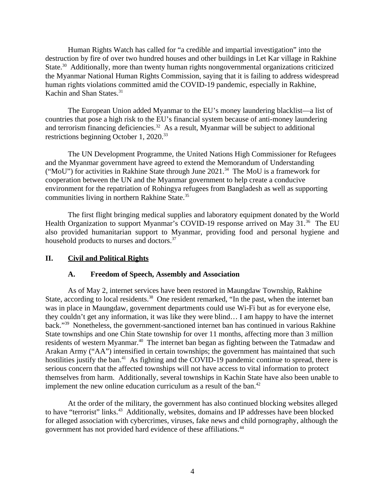Human Rights Watch has called for "a credible and impartial investigation" into the destruction by fire of over two hundred houses and other buildings in Let Kar village in Rakhine State.<sup>30</sup> Additionally, more than twenty human rights nongovernmental organizations criticized the Myanmar National Human Rights Commission, saying that it is failing to address widespread human rights violations committed amid the COVID-19 pandemic, especially in Rakhine, Kachin and Shan States.<sup>31</sup>

The European Union added Myanmar to the EU's money laundering blacklist—a list of countries that pose a high risk to the EU's financial system because of anti-money laundering and terrorism financing deficiencies.<sup>32</sup> As a result, Myanmar will be subject to additional restrictions beginning October 1, 2020.<sup>33</sup>

The UN Development Programme, the United Nations High Commissioner for Refugees and the Myanmar government have agreed to extend the Memorandum of Understanding ("MoU") for activities in Rakhine State through June 2021.<sup>34</sup> The MoU is a framework for cooperation between the UN and the Myanmar government to help create a conducive environment for the repatriation of Rohingya refugees from Bangladesh as well as supporting communities living in northern Rakhine State.<sup>35</sup>

The first flight bringing medical supplies and laboratory equipment donated by the World Health Organization to support Myanmar's COVID-19 response arrived on May 31.<sup>36</sup> The EU also provided humanitarian support to Myanmar, providing food and personal hygiene and household products to nurses and doctors.<sup>37</sup>

# **II. Civil and Political Rights**

### <span id="page-3-1"></span><span id="page-3-0"></span>**A. Freedom of Speech, Assembly and Association**

As of May 2, internet services have been restored in Maungdaw Township, Rakhine State, according to local residents.<sup>38</sup> One resident remarked, "In the past, when the internet ban was in place in Maungdaw, government departments could use Wi-Fi but as for everyone else, they couldn't get any information, it was like they were blind… I am happy to have the internet back."<sup>39</sup> Nonetheless, the government-sanctioned internet ban has continued in various Rakhine State townships and one Chin State township for over 11 months, affecting more than 3 million residents of western Myanmar.<sup>40</sup> The internet ban began as fighting between the Tatmadaw and Arakan Army ("AA") intensified in certain townships; the government has maintained that such hostilities justify the ban.<sup>41</sup> As fighting and the COVID-19 pandemic continue to spread, there is serious concern that the affected townships will not have access to vital information to protect themselves from harm. Additionally, several townships in Kachin State have also been unable to implement the new online education curriculum as a result of the ban. $42$ 

At the order of the military, the government has also continued blocking websites alleged to have "terrorist" links.<sup>43</sup> Additionally, websites, domains and IP addresses have been blocked for alleged association with cybercrimes, viruses, fake news and child pornography, although the government has not provided hard evidence of these affiliations.<sup>44</sup>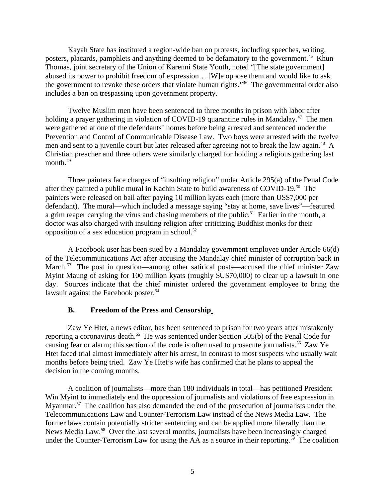Kayah State has instituted a region-wide ban on protests, including speeches, writing, posters, placards, pamphlets and anything deemed to be defamatory to the government.<sup>45</sup> Khun Thomas, joint secretary of the Union of Karenni State Youth, noted "[The state government] abused its power to prohibit freedom of expression… [W]e oppose them and would like to ask the government to revoke these orders that violate human rights."<sup>46</sup> The governmental order also includes a ban on trespassing upon government property.

Twelve Muslim men have been sentenced to three months in prison with labor after holding a prayer gathering in violation of COVID-19 quarantine rules in Mandalay.<sup>47</sup> The men were gathered at one of the defendants' homes before being arrested and sentenced under the Prevention and Control of Communicable Disease Law. Two boys were arrested with the twelve men and sent to a juvenile court but later released after agreeing not to break the law again.<sup>48</sup> A Christian preacher and three others were similarly charged for holding a religious gathering last month.<sup>49</sup>

Three painters face charges of "insulting religion" under Article 295(a) of the Penal Code after they painted a public mural in Kachin State to build awareness of COVID-19.<sup>50</sup> The painters were released on bail after paying 10 million kyats each (more than US\$7,000 per defendant). The mural—which included a message saying "stay at home, save lives"—featured a grim reaper carrying the virus and chasing members of the public.<sup>51</sup> Earlier in the month, a doctor was also charged with insulting religion after criticizing Buddhist monks for their opposition of a sex education program in school. $52$ 

A Facebook user has been sued by a Mandalay government employee under Article 66(d) of the Telecommunications Act after accusing the Mandalay chief minister of corruption back in March.<sup>53</sup> The post in question—among other satirical posts—accused the chief minister Zaw Myint Maung of asking for 100 million kyats (roughly \$US70,000) to clear up a lawsuit in one day. Sources indicate that the chief minister ordered the government employee to bring the lawsuit against the Facebook poster.<sup>54</sup>

#### <span id="page-4-0"></span>**B. Freedom of the Press and Censorship**

Zaw Ye Htet, a news editor, has been sentenced to prison for two years after mistakenly reporting a coronavirus death.<sup>55</sup> He was sentenced under Section 505(b) of the Penal Code for causing fear or alarm; this section of the code is often used to prosecute journalists.<sup>56</sup> Zaw Ye Htet faced trial almost immediately after his arrest, in contrast to most suspects who usually wait months before being tried. Zaw Ye Htet's wife has confirmed that he plans to appeal the decision in the coming months.

A coalition of journalists—more than 180 individuals in total—has petitioned President Win Myint to immediately end the oppression of journalists and violations of free expression in Myanmar.<sup>57</sup> The coalition has also demanded the end of the prosecution of journalists under the Telecommunications Law and Counter-Terrorism Law instead of the News Media Law. The former laws contain potentially stricter sentencing and can be applied more liberally than the News Media Law.<sup>58</sup> Over the last several months, journalists have been increasingly charged under the Counter-Terrorism Law for using the AA as a source in their reporting.<sup>59</sup> The coalition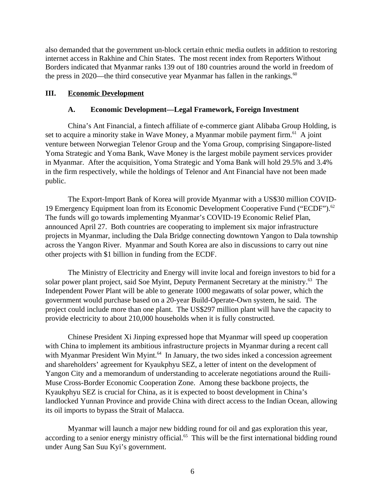also demanded that the government un-block certain ethnic media outlets in addition to restoring internet access in Rakhine and Chin States. The most recent index from Reporters Without Borders indicated that Myanmar ranks 139 out of 180 countries around the world in freedom of the press in 2020—the third consecutive year Myanmar has fallen in the rankings. $60$ 

# **III. Economic Development**

# <span id="page-5-1"></span><span id="page-5-0"></span>**A. Economic Development—Legal Framework, Foreign Investment**

China's Ant Financial, a fintech affiliate of e-commerce giant Alibaba Group Holding, is set to acquire a minority stake in Wave Money, a Myanmar mobile payment firm.<sup>61</sup> A joint venture between Norwegian Telenor Group and the Yoma Group, comprising Singapore-listed Yoma Strategic and Yoma Bank, Wave Money is the largest mobile payment services provider in Myanmar. After the acquisition, Yoma Strategic and Yoma Bank will hold 29.5% and 3.4% in the firm respectively, while the holdings of Telenor and Ant Financial have not been made public.

The Export-Import Bank of Korea will provide Myanmar with a US\$30 million COVID-19 Emergency Equipment loan from its Economic Development Cooperative Fund ("ECDF").<sup>62</sup> The funds will go towards implementing Myanmar's COVID-19 Economic Relief Plan, announced April 27. Both countries are cooperating to implement six major infrastructure projects in Myanmar, including the Dala Bridge connecting downtown Yangon to Dala township across the Yangon River. Myanmar and South Korea are also in discussions to carry out nine other projects with \$1 billion in funding from the ECDF.

The Ministry of Electricity and Energy will invite local and foreign investors to bid for a solar power plant project, said Soe Myint, Deputy Permanent Secretary at the ministry.<sup>63</sup> The Independent Power Plant will be able to generate 1000 megawatts of solar power, which the government would purchase based on a 20-year Build-Operate-Own system, he said. The project could include more than one plant. The US\$297 million plant will have the capacity to provide electricity to about 210,000 households when it is fully constructed.

Chinese President Xi Jinping expressed hope that Myanmar will speed up cooperation with China to implement its ambitious infrastructure projects in Myanmar during a recent call with Myanmar President Win Myint.<sup>64</sup> In January, the two sides inked a concession agreement and shareholders' agreement for Kyaukphyu SEZ, a letter of intent on the development of Yangon City and a memorandum of understanding to accelerate negotiations around the Ruili-Muse Cross-Border Economic Cooperation Zone. Among these backbone projects, the Kyaukphyu SEZ is crucial for China, as it is expected to boost development in China's landlocked Yunnan Province and provide China with direct access to the Indian Ocean, allowing its oil imports to bypass the Strait of Malacca.

Myanmar will launch a major new bidding round for oil and gas exploration this year, according to a senior energy ministry official.<sup>65</sup> This will be the first international bidding round under Aung San Suu Kyi's government.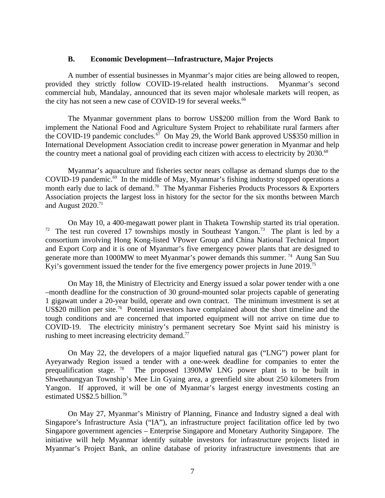#### <span id="page-6-0"></span>**B. Economic Development—Infrastructure, Major Projects**

A number of essential businesses in Myanmar's major cities are being allowed to reopen, provided they strictly follow COVID-19-related health instructions. Myanmar's second commercial hub, Mandalay, announced that its seven major wholesale markets will reopen, as the city has not seen a new case of COVID-19 for several weeks.<sup>66</sup>

The Myanmar government plans to borrow US\$200 million from the Word Bank to implement the National Food and Agriculture System Project to rehabilitate rural farmers after the COVID-19 pandemic concludes.<sup>67</sup> On May 29, the World Bank approved US\$350 million in International Development Association credit to increase power generation in Myanmar and help the country meet a national goal of providing each citizen with access to electricity by  $2030$ .<sup>68</sup>

Myanmar's aquaculture and fisheries sector nears collapse as demand slumps due to the COVID-19 pandemic. $69$  In the middle of May, Myanmar's fishing industry stopped operations a month early due to lack of demand.<sup>70</sup> The Myanmar Fisheries Products Processors & Exporters Association projects the largest loss in history for the sector for the six months between March and August  $2020$ .<sup>71</sup>

On May 10, a 400-megawatt power plant in Thaketa Township started its trial operation. <sup>72</sup> The test run covered 17 townships mostly in Southeast Yangon.<sup>73</sup> The plant is led by a consortium involving Hong Kong-listed VPower Group and China National Technical Import and Export Corp and it is one of Myanmar's five emergency power plants that are designed to generate more than 1000MW to meet Myanmar's power demands this summer. <sup>74</sup> Aung San Suu Kyi's government issued the tender for the five emergency power projects in June 2019.<sup>75</sup>

On May 18, the Ministry of Electricity and Energy issued a solar power tender with a one –month deadline for the construction of 30 ground-mounted solar projects capable of generating 1 gigawatt under a 20-year build, operate and own contract. The minimum investment is set at US\$20 million per site.<sup>76</sup> Potential investors have complained about the short timeline and the tough conditions and are concerned that imported equipment will not arrive on time due to COVID-19. The electricity ministry's permanent secretary Soe Myint said his ministry is rushing to meet increasing electricity demand. $77$ 

On May 22, the developers of a major liquefied natural gas ("LNG") power plant for Ayeyarwady Region issued a tender with a one-week deadline for companies to enter the prequalification stage. <sup>78</sup> The proposed 1390MW LNG power plant is to be built in The proposed 1390MW LNG power plant is to be built in Shwethaungyan Township's Mee Lin Gyaing area, a greenfield site about 250 kilometers from Yangon. If approved, it will be one of Myanmar's largest energy investments costing an estimated US\$2.5 billion.<sup>79</sup>

On May 27, Myanmar's Ministry of Planning, Finance and Industry signed a deal with Singapore's Infrastructure Asia ("IA"), an infrastructure project facilitation office led by two Singapore government agencies – Enterprise Singapore and Monetary Authority Singapore. The initiative will help Myanmar identify suitable investors for infrastructure projects listed in Myanmar's Project Bank, an online database of priority infrastructure investments that are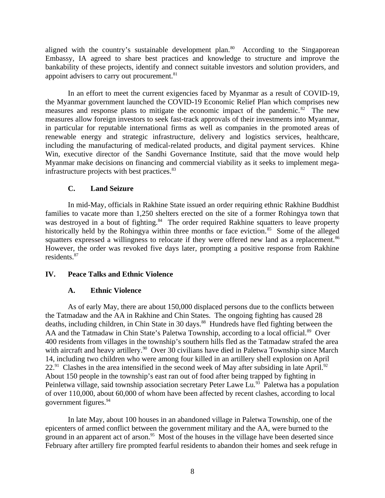aligned with the country's sustainable development plan. $80$  According to the Singaporean Embassy, IA agreed to share best practices and knowledge to structure and improve the bankability of these projects, identify and connect suitable investors and solution providers, and appoint advisers to carry out procurement.<sup>81</sup>

In an effort to meet the current exigencies faced by Myanmar as a result of COVID-19, the Myanmar government launched the COVID-19 Economic Relief Plan which comprises new measures and response plans to mitigate the economic impact of the pandemic. $82$  The new measures allow foreign investors to seek fast-track approvals of their investments into Myanmar, in particular for reputable international firms as well as companies in the promoted areas of renewable energy and strategic infrastructure, delivery and logistics services, healthcare, including the manufacturing of medical-related products, and digital payment services. Khine Win, executive director of the Sandhi Governance Institute, said that the move would help Myanmar make decisions on financing and commercial viability as it seeks to implement megainfrastructure projects with best practices.<sup>83</sup>

# <span id="page-7-2"></span>**C. Land Seizure**

In mid-May, officials in Rakhine State issued an order requiring ethnic Rakhine Buddhist families to vacate more than 1,250 shelters erected on the site of a former Rohingya town that was destroyed in a bout of fighting.<sup>84</sup> The order required Rakhine squatters to leave property historically held by the Rohingya within three months or face eviction.<sup>85</sup> Some of the alleged squatters expressed a willingness to relocate if they were offered new land as a replacement.<sup>86</sup> However, the order was revoked five days later, prompting a positive response from Rakhine residents.<sup>87</sup>

### **IV. Peace Talks and Ethnic Violence**

### <span id="page-7-1"></span><span id="page-7-0"></span>**A. Ethnic Violence**

As of early May, there are about 150,000 displaced persons due to the conflicts between the Tatmadaw and the AA in Rakhine and Chin States. The ongoing fighting has caused 28 deaths, including children, in Chin State in 30 days.<sup>88</sup> Hundreds have fled fighting between the AA and the Tatmadaw in Chin State's Paletwa Township, according to a local official.<sup>89</sup> Over 400 residents from villages in the township's southern hills fled as the Tatmadaw strafed the area with aircraft and heavy artillery.<sup>90</sup> Over 30 civilians have died in Paletwa Township since March 14, including two children who were among four killed in an artillery shell explosion on April  $22.^{91}$  Clashes in the area intensified in the second week of May after subsiding in late April.<sup>92</sup> About 150 people in the township's east ran out of food after being trapped by fighting in Peinletwa village, said township association secretary Peter Lawe Lu.<sup>93</sup> Paletwa has a population of over 110,000, about 60,000 of whom have been affected by recent clashes, according to local government figures.<sup>94</sup>

In late May, about 100 houses in an abandoned village in Paletwa Township, one of the epicenters of armed conflict between the government military and the AA, were burned to the ground in an apparent act of arson. $95$  Most of the houses in the village have been deserted since February after artillery fire prompted fearful residents to abandon their homes and seek refuge in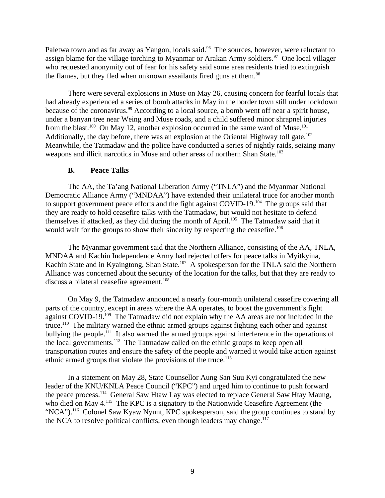Paletwa town and as far away as Yangon, locals said.<sup>96</sup> The sources, however, were reluctant to assign blame for the village torching to Myanmar or Arakan Army soldiers.<sup>97</sup> One local villager who requested anonymity out of fear for his safety said some area residents tried to extinguish the flames, but they fled when unknown assailants fired guns at them.<sup>98</sup>

There were several explosions in Muse on May 26, causing concern for fearful locals that had already experienced a series of bomb attacks in May in the border town still under lockdown because of the coronavirus.<sup>99</sup> According to a local source, a bomb went off near a spirit house, under a banyan tree near Weing and Muse roads, and a child suffered minor shrapnel injuries from the blast.<sup>100</sup> On May 12, another explosion occurred in the same ward of Muse.<sup>101</sup> Additionally, the day before, there was an explosion at the Oriental Highway toll gate.<sup>102</sup> Meanwhile, the Tatmadaw and the police have conducted a series of nightly raids, seizing many weapons and illicit narcotics in Muse and other areas of northern Shan State.<sup>103</sup>

### <span id="page-8-0"></span>**B. Peace Talks**

The AA, the Ta'ang National Liberation Army ("TNLA") and the Myanmar National Democratic Alliance Army ("MNDAA") have extended their unilateral truce for another month to support government peace efforts and the fight against COVID-19.<sup>104</sup> The groups said that they are ready to hold ceasefire talks with the Tatmadaw, but would not hesitate to defend themselves if attacked, as they did during the month of April.<sup>105</sup> The Tatmadaw said that it would wait for the groups to show their sincerity by respecting the ceasefire.<sup>106</sup>

The Myanmar government said that the Northern Alliance, consisting of the AA, TNLA, MNDAA and Kachin Independence Army had rejected offers for peace talks in Myitkyina, Kachin State and in Kyaingtong, Shan State.<sup>107</sup> A spokesperson for the TNLA said the Northern Alliance was concerned about the security of the location for the talks, but that they are ready to discuss a bilateral ceasefire agreement.<sup>108</sup>

On May 9, the Tatmadaw announced a nearly four-month unilateral ceasefire covering all parts of the country, except in areas where the AA operates, to boost the government's fight against COVID-19.<sup>109</sup> The Tatmadaw did not explain why the AA areas are not included in the truce.<sup>110</sup> The military warned the ethnic armed groups against fighting each other and against bullying the people.<sup>111</sup> It also warned the armed groups against interference in the operations of the local governments.<sup>112</sup> The Tatmadaw called on the ethnic groups to keep open all transportation routes and ensure the safety of the people and warned it would take action against ethnic armed groups that violate the provisions of the truce. $113$ 

In a statement on May 28, State Counsellor Aung San Suu Kyi congratulated the new leader of the KNU/KNLA Peace Council ("KPC") and urged him to continue to push forward the peace process.<sup>114</sup> General Saw Htaw Lay was elected to replace General Saw Htay Maung, who died on May 4.<sup>115</sup> The KPC is a signatory to the Nationwide Ceasefire Agreement (the "NCA").<sup>116</sup> Colonel Saw Kyaw Nyunt, KPC spokesperson, said the group continues to stand by the NCA to resolve political conflicts, even though leaders may change. $117$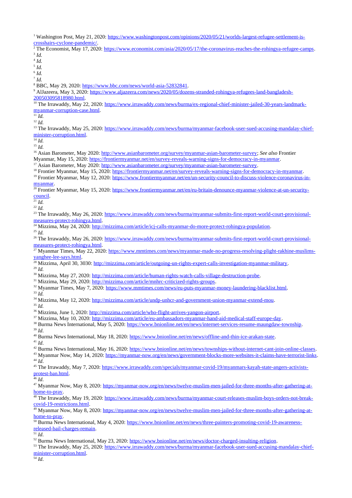<sup>1</sup> Washington Post, May 21, 2020: [https://www.washingtonpost.com/opinions/2020/05/21/worlds-largest-refugee-settlement-is](https://www.washingtonpost.com/opinions/2020/05/21/worlds-largest-refugee-settlement-is-crosshairs-cyclone-pandemic/)[crosshairs-cyclone-pandemic/.](https://www.washingtonpost.com/opinions/2020/05/21/worlds-largest-refugee-settlement-is-crosshairs-cyclone-pandemic/) <sup>2</sup> The Economist, May 17, 2020: [https://www.economist.com/asia/2020/05/17/the-coronavirus-reaches-the-rohingya-refugee-camps.](https://www.economist.com/asia/2020/05/17/the-coronavirus-reaches-the-rohingya-refugee-camps)

5 *Id.* 6 *Id.* 7 *Id.* <sup>8</sup> BBC, May 29, 2020: [https://www.bbc.com/news/world-asia-52832841.](https://www.bbc.com/news/world-asia-52832841) <sup>9</sup> AlJazeera, May 3, 202<mark>0: <u>https://www.aljazeera.com/news/2020/05/dozens-stranded-rohingya-refugees-land-bangladesh-</mark></mark></u> [200503095818980.html.](https://www.aljazeera.com/news/2020/05/dozens-stranded-rohingya-refugees-land-bangladesh-200503095818980.html) <sup>10</sup> The Irrawaddy, May 22, 2020: [https://www.irrawaddy.com/news/burma/ex-regional-chief-minister-jailed-30-years-landmark](https://www.irrawaddy.com/news/burma/ex-regional-chief-minister-jailed-30-years-landmark-myanmar-corruption-case.html)[myanmar-corruption-case.html.](https://www.irrawaddy.com/news/burma/ex-regional-chief-minister-jailed-30-years-landmark-myanmar-corruption-case.html)  $\overline{^{11}}$ *Id.* <sup>12</sup> *Id.* <sup>13</sup> The Irrawaddy, May 25, 2020: [https://www.irrawaddy.com/news/burma/myanmar-facebook-user-sued-accusing-mandalay-chief](https://www.irrawaddy.com/news/burma/myanmar-facebook-user-sued-accusing-mandalay-chief-minister-corruption.html)[minister-corruption.html.](https://www.irrawaddy.com/news/burma/myanmar-facebook-user-sued-accusing-mandalay-chief-minister-corruption.html) <sup>14</sup> *Id.*  $^{15}$  *Id.* <sup>16</sup> Asian Barometer, May 2020: [http://www.asianbarometer.org/survey/myanmar-asian-barometer-survey;](http://www.asianbarometer.org/survey/myanmar-asian-barometer-survey) *See also* Frontier Myanmar, May 15, 2020: [https://frontiermyanmar.net/en/survey-reveals-warning-signs-for-democracy-in-myanmar.](https://frontiermyanmar.net/en/survey-reveals-warning-signs-for-democracy-in-myanmar) <sup>17</sup> Asian Barometer, May 2020: [http://www.asianbarometer.org/survey/myanmar-asian-barometer-survey.](http://www.asianbarometer.org/survey/myanmar-asian-barometer-survey) <sup>18</sup> Frontier Myanmar, May 15, 2020: [https://frontiermyanmar.net/en/survey-reveals-warning-signs-for-democracy-in-myanmar.](https://frontiermyanmar.net/en/survey-reveals-warning-signs-for-democracy-in-myanmar) <sup>19</sup> Frontier Myanmar, May 12, 2020: [https://www.frontiermyanmar.net/en/un-security-council-to-discuss-violence-coronavirus-in](https://www.frontiermyanmar.net/en/un-security-council-to-discuss-violence-coronavirus-in-myanmar)[myanmar.](https://www.frontiermyanmar.net/en/un-security-council-to-discuss-violence-coronavirus-in-myanmar) <sup>20</sup> Frontier Myanmar, May 15, 2020: [https://www.frontiermyanmar.net/en/eu-britain-denounce-myanmar-violence-at-un-security](https://www.frontiermyanmar.net/en/eu-britain-denounce-myanmar-violence-at-un-security-council)[council.](https://www.frontiermyanmar.net/en/eu-britain-denounce-myanmar-violence-at-un-security-council) <sup>21</sup> *Id.* <sup>22</sup> *Id.* <sup>23</sup> The Irrawaddy, May 26, 2020: [https://www.irrawaddy.com/news/burma/myanmar-submits-first-report-world-court-provisional](https://www.irrawaddy.com/news/burma/myanmar-submits-first-report-world-court-provisional-measures-protect-rohingya.html)[measures-protect-rohingya.html.](https://www.irrawaddy.com/news/burma/myanmar-submits-first-report-world-court-provisional-measures-protect-rohingya.html) <sup>24</sup> Mizzima, May 24, 2020: <u>http://mizzima.com/article/icj-calls-myanmar-do-more-protect-rohingya-population</u>.  $^{25}$  *Id.* <sup>26</sup> The Irrawaddy, May 26, 2020: [https://www.irrawaddy.com/news/burma/myanmar-submits-first-report-world-court-provisional](https://www.irrawaddy.com/news/burma/myanmar-submits-first-report-world-court-provisional-measures-protect-rohingya.html)[measures-protect-rohingya.html.](https://www.irrawaddy.com/news/burma/myanmar-submits-first-report-world-court-provisional-measures-protect-rohingya.html) 27 Myanmar Times, May 22, 2020: [https://www.mmtimes.com/news/myanmar-made-no-progress-resolving-plight-rakhine-muslims](https://www.mmtimes.com/news/myanmar-made-no-progress-resolving-plight-rakhine-muslims-yanghee-lee-says.html)[yanghee-lee-says.html.](https://www.mmtimes.com/news/myanmar-made-no-progress-resolving-plight-rakhine-muslims-yanghee-lee-says.html) <sup>28</sup> Mizzima, April 30, 3030: [http://mizzima.com/article/outgoing-un-rights-expert-calls-investigation-myanmar-military.](http://mizzima.com/article/outgoing-un-rights-expert-calls-investigation-myanmar-military) <sup>29</sup> *Id.* <sup>30</sup> Mizzima, May 27, 2020: [http://mizzima.com/article/human-rights-watch-calls-village-destruction-probe.](http://mizzima.com/article/human-rights-watch-calls-village-destruction-probe) <sup>31</sup> Mizzima, May 29, 2020: [http://mizzima.com/article/mnhrc-criticized-rights-groups.](http://mizzima.com/article/mnhrc-criticized-rights-groups) <sup>32</sup> Myanmar Times, May 7, 2020: [https://www.mmtimes.com/news/eu-puts-myanmar-money-laundering-blacklist.html.](https://www.mmtimes.com/news/eu-puts-myanmar-money-laundering-blacklist.html) <sup>33</sup> *Id.* <sup>34</sup> Mizzima, May 12, 2020: [http://mizzima.com/article/undp-unhcr-and-government-union-myanmar-extend-mou.](http://mizzima.com/article/undp-unhcr-and-government-union-myanmar-extend-mou) <sup>35</sup> *Id.* <sup>36</sup> Mizzima, June 1, 2020: [http://mizzima.com/article/who-flight-arrives-yangon-airport.](http://mizzima.com/article/who-flight-arrives-yangon-airport) <sup>37</sup> Mizzima, May 10, 2020: [http://mizzima.com/article/eu-ambassadors-myanmar-hand-aid-medical-staff-europe-day.](http://mizzima.com/article/eu-ambassadors-myanmar-hand-aid-medical-staff-europe-day) <sup>38</sup> Burma News International, May 5, 2020: [https://www.bnionline.net/en/news/internet-services-resume-maungdaw-township.](https://www.bnionline.net/en/news/internet-services-resume-maungdaw-township) <sup>39</sup> *Id*. <sup>40</sup> Burma News International, May 18, 2020: [https://www.bnionline.net/en/news/offline-and-thin-ice-arakan-state.](https://www.bnionline.net/en/news/offline-and-thin-ice-arakan-state) <sup>41</sup> *Id*. <sup>42</sup> Burma News International, May 16, 2020: [https://www.bnionline.net/en/news/townships-without-internet-cant-join-online-classes.](https://www.bnionline.net/en/news/townships-without-internet-cant-join-online-classes) 43 Myanmar Now, May 14, 2020: [https://myanmar-now.org/en/news/government-blocks-more-websites-it-claims-have-terrorist-links.](https://myanmar-now.org/en/news/government-blocks-more-websites-it-claims-have-terrorist-links) <sup>44</sup> *Id*. <sup>45</sup> The Irrawaddy, May 7, 2020: [https://www.irrawaddy.com/specials/myanmar-covid-19/myanmars-kayah-state-angers-activists](https://www.irrawaddy.com/specials/myanmar-covid-19/myanmars-kayah-state-angers-activists-protest-ban.html)[protest-ban.html.](https://www.irrawaddy.com/specials/myanmar-covid-19/myanmars-kayah-state-angers-activists-protest-ban.html) <sup>46</sup> *Id*. <sup>47</sup> Myanmar Now, May 8, 2020: [https://myanmar-now.org/en/news/twelve-muslim-men-jailed-for-three-months-after-gathering-at](https://myanmar-now.org/en/news/twelve-muslim-men-jailed-for-three-months-after-gathering-at-home-to-pray)[home-to-pray.](https://myanmar-now.org/en/news/twelve-muslim-men-jailed-for-three-months-after-gathering-at-home-to-pray) <sup>48</sup> The Irrawaddy, May 19, 2020: [https://www.irrawaddy.com/news/burma/myanmar-court-releases-muslim-boys-orders-not-break](https://www.irrawaddy.com/news/burma/myanmar-court-releases-muslim-boys-orders-not-break-covid-19-restrictions.html)[covid-19-restrictions.html.](https://www.irrawaddy.com/news/burma/myanmar-court-releases-muslim-boys-orders-not-break-covid-19-restrictions.html) <sup>49</sup> Myanmar Now, May 8, 2020: [https://myanmar-now.org/en/news/twelve-muslim-men-jailed-for-three-months-after-gathering-at](https://myanmar-now.org/en/news/twelve-muslim-men-jailed-for-three-months-after-gathering-at-home-to-pray)[home-to-pray.](https://myanmar-now.org/en/news/twelve-muslim-men-jailed-for-three-months-after-gathering-at-home-to-pray) <sup>50</sup> Burma News International, May 4, 2020: [https://www.bnionline.net/en/news/three-painters-promoting-covid-19-awareness](https://www.bnionline.net/en/news/three-painters-promoting-covid-19-awareness-released-bail-charges-remain)[released-bail-charges-remain.](https://www.bnionline.net/en/news/three-painters-promoting-covid-19-awareness-released-bail-charges-remain)

 $\overline{\phantom{a}51}$  *Id.* 

3 *Id.* 4 *Id.*

52 Burma News International, May 23, 2020: [https://www.bnionline.net/en/news/doctor-charged-insulting-religion.](https://www.bnionline.net/en/news/doctor-charged-insulting-religion)

<sup>53</sup> The Irrawaddy, May 25, 2020: [https://www.irrawaddy.com/news/burma/myanmar-facebook-user-sued-accusing-mandalay-chief](https://www.irrawaddy.com/news/burma/myanmar-facebook-user-sued-accusing-mandalay-chief-minister-corruption.html)[minister-corruption.html.](https://www.irrawaddy.com/news/burma/myanmar-facebook-user-sued-accusing-mandalay-chief-minister-corruption.html)

<sup>54</sup> *Id*.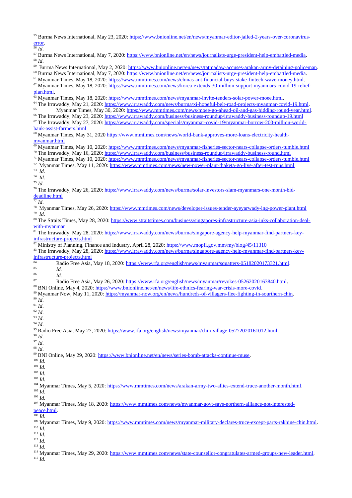<sup>55</sup> Burma News International, May 23, 2020: [https://www.bnionline.net/en/news/myanmar-editor-jailed-2-years-over-coronavirus](https://www.bnionline.net/en/news/myanmar-editor-jailed-2-years-over-coronavirus-error)[error.](https://www.bnionline.net/en/news/myanmar-editor-jailed-2-years-over-coronavirus-error)

<sup>56</sup> *Id*.

<sup>57</sup> Burma News International, May 7, 2020: [https://www.bnionline.net/en/news/journalists-urge-president-help-embattled-media.](https://www.bnionline.net/en/news/journalists-urge-president-help-embattled-media) <sup>58</sup> *Id*. <sup>59</sup> Burma News International, May 2, 2020: <u>https://www.bnionline.net/en/news/tatmadaw-accuses-arakan-army-detaining-policeman</u> <sup>60</sup> Burma News International, May 7, 2020: [https://www.bnionline.net/en/news/journalists-urge-president-help-embattled-media.](https://www.bnionline.net/en/news/journalists-urge-president-help-embattled-media) <sup>61</sup> Myanmar Times, May 18, 2020: [https://www.mmtimes.com/news/chinas-ant-financial-buys-stake-fintech-wave-money.html.](https://www.mmtimes.com/news/chinas-ant-financial-buys-stake-fintech-wave-money.html) <sup>62</sup> Myanmar Times, May 18, 2020: [https://www.mmtimes.com/news/korea-extends-30-million-support-myanmars-covid-19-relief](https://www.mmtimes.com/news/korea-extends-30-million-support-myanmars-covid-19-relief-plan.html)[plan.html.](https://www.mmtimes.com/news/korea-extends-30-million-support-myanmars-covid-19-relief-plan.html)  $63$  Myanmar Times, May 18, 2020: [https://www.mmtimes.com/news/myanmar-invite-tenders-solar-power-moee.html.](https://www.mmtimes.com/news/myanmar-invite-tenders-solar-power-moee.html) <sup>64</sup> The Irrawaddy, May 21, 2020: [https://www.irrawaddy.com/news/burma/xi-hopeful-belt-road-projects-myanmar-covid-19.html.](https://www.irrawaddy.com/news/burma/xi-hopeful-belt-road-projects-myanmar-covid-19.html) Myanmar Times, May 30, 2020: [https://www.mmtimes.com/news/moee-go-ahead-oil-and-gas-bidding-round-year.html.](https://www.mmtimes.com/news/moee-go-ahead-oil-and-gas-bidding-round-year.html) <sup>66</sup> The Irrawaddy, May 23, 2020:<https://www.irrawaddy.com/business/business-roundup/irrawaddy-business-roundup-19.html> 67 The Irrawaddy, May 27, 2020: [https://www.irrawaddy.com/specials/myanmar-covid-19/myanmar-borrow-200-million-world](https://www.irrawaddy.com/specials/myanmar-covid-19/myanmar-borrow-200-million-world-bank-assist-farmers.html)[bank-assist-farmers.html](https://www.irrawaddy.com/specials/myanmar-covid-19/myanmar-borrow-200-million-world-bank-assist-farmers.html) 68 Myanmar Times, May 31, 2020 [https://www.mmtimes.com/news/world-bank-approves-more-loans-electricity-health](https://www.mmtimes.com/news/world-bank-approves-more-loans-electricity-health-myanmar.html)[myanmar.html](https://www.mmtimes.com/news/world-bank-approves-more-loans-electricity-health-myanmar.html) 69 Myanmar Times, May 10, 2020:<https://www.mmtimes.com/news/myanmar-fisheries-sector-nears-collapse-orders-tumble.html> <sup>70</sup> The Irrawaddy, May 16, 2020:<https://www.irrawaddy.com/business/business-roundup/irrawaddy-business-round.html> <sup>71</sup> Myanmar Times, May 10, 2020:<https://www.mmtimes.com/news/myanmar-fisheries-sector-nears-collapse-orders-tumble.html> <sup>72</sup> Myanmar Times, May 11, 2020:<https://www.mmtimes.com/news/new-power-plant-thaketa-go-live-after-test-runs.html> 73 *Id*. 74 *Id*. <sup>75</sup> *Id*. <sup>76</sup> The Irrawaddy, May 26, 2020: [https://www.irrawaddy.com/news/burma/solar-investors-slam-myanmars-one-month-bid](https://www.irrawaddy.com/news/burma/solar-investors-slam-myanmars-one-month-bid-deadline.html)[deadline.html](https://www.irrawaddy.com/news/burma/solar-investors-slam-myanmars-one-month-bid-deadline.html) <sup>77</sup> *Id*. <sup>78</sup> Myanmar Times, May 26, 2020:<https://www.mmtimes.com/news/developer-issues-tender-ayeyarwady-lng-power-plant.html> 79 *Id*. <sup>80</sup> The Straits Times, May 28, 2020: [https://www.straitstimes.com/business/singapores-infrastructure-asia-inks-collaboration-deal](https://www.straitstimes.com/business/singapores-infrastructure-asia-inks-collaboration-deal-with-myanmar)[with-myanmar](https://www.straitstimes.com/business/singapores-infrastructure-asia-inks-collaboration-deal-with-myanmar) <sup>81</sup> The Irrawaddy, May 28, 2020: [https://www.irrawaddy.com/news/burma/singapore-agency-help-myanmar-find-partners-key](https://www.irrawaddy.com/news/burma/singapore-agency-help-myanmar-find-partners-key-infrastructure-projects.html)[infrastructure-projects.html](https://www.irrawaddy.com/news/burma/singapore-agency-help-myanmar-find-partners-key-infrastructure-projects.html) <sup>82</sup> Ministry of Planning, Finance and Industry, April 28, 2020:<https://www.mopfi.gov.mm/my/blog/45/11310> 83 The Irrawaddy, May 28, 2020: [https://www.irrawaddy.com/news/burma/singapore-agency-help-myanmar-find-partners-key](https://www.irrawaddy.com/news/burma/singapore-agency-help-myanmar-find-partners-key-infrastructure-projects.html)[infrastructure-projects.html](https://www.irrawaddy.com/news/burma/singapore-agency-help-myanmar-find-partners-key-infrastructure-projects.html)  $\frac{84}{165}$  Radio Free Asia, May 18, 2020: [https://www.rfa.org/english/news/myanmar/squatters-05182020173321.html.](https://www.rfa.org/english/news/myanmar/squatters-05182020173321.html)  $rac{85}{86}$  *Id.*  $rac{86}{87}$  *Id.* <sup>87</sup> Radio Free Asia, May 26, 2020: [https://www.rfa.org/english/news/myanmar/revokes-05262020163840.html.](https://www.rfa.org/english/news/myanmar/revokes-05262020163840.html) <sup>88</sup> BNI Online, May 4, 2020: [https://www.bnionline.net/en/news/life-ethnics-fearing-war-crisis-more-covid.](https://www.bnionline.net/en/news/life-ethnics-fearing-war-crisis-more-covid) 89 Myanmar Now, May 11, 2020: [https://myanmar-now.org/en/news/hundreds-of-villagers-flee-fighting-in-sourthern-chin.](https://myanmar-now.org/en/news/hundreds-of-villagers-flee-fighting-in-sourthern-chin)  $^{90}$  *Id.* <sup>91</sup> *Id*. <sup>92</sup> *Id*. <sup>93</sup> *Id*. <sup>94</sup> *Id*. <sup>95</sup> Radio Free Asia, May 27, 2020: [https://www.rfa.org/english/news/myanmar/chin-village-05272020161012.html.](https://www.rfa.org/english/news/myanmar/chin-village-05272020161012.html) <sup>96</sup> *Id*. <sup>97</sup> *Id*. <sup>98</sup> *Id*. <sup>99</sup> BNI Online, May 29, 2020: [https://www.bnionline.net/en/news/series-bomb-attacks-continue-muse.](https://www.bnionline.net/en/news/series-bomb-attacks-continue-muse) <sup>100</sup> *Id*. <sup>101</sup> *Id*. <sup>102</sup> *Id*. <sup>103</sup> *Id*. <sup>104</sup> Myanmar Times, May 5, 2020: [https://www.mmtimes.com/news/arakan-army-two-allies-extend-truce-another-month.html.](https://www.mmtimes.com/news/arakan-army-two-allies-extend-truce-another-month.html) <sup>105</sup> *Id*. <sup>106</sup> *Id*. <sup>107</sup> Myanmar Times, May 18, 2020: [https://www.mmtimes.com/news/myanmar-govt-says-northern-alliance-not-interested](https://www.mmtimes.com/news/myanmar-govt-says-northern-alliance-not-interested-peace.html)[peace.html.](https://www.mmtimes.com/news/myanmar-govt-says-northern-alliance-not-interested-peace.html) <sup>108</sup> *Id*. <sup>109</sup> Myanmar Times, May 9, 2020: [https://www.mmtimes.com/news/myanmar-military-declares-truce-except-parts-rakhine-chin.html.](https://www.mmtimes.com/news/myanmar-military-declares-truce-except-parts-rakhine-chin.html) <sup>110</sup> *Id*. <sup>111</sup> *Id*. <sup>112</sup> *Id*.

<sup>113</sup> *Id*.

<sup>114</sup> Myanmar Times, May 29, 2020: [https://www.mmtimes.com/news/state-counsellor-congratulates-armed-groups-new-leader.html.](https://www.mmtimes.com/news/state-counsellor-congratulates-armed-groups-new-leader.html) <sup>115</sup> *Id*.